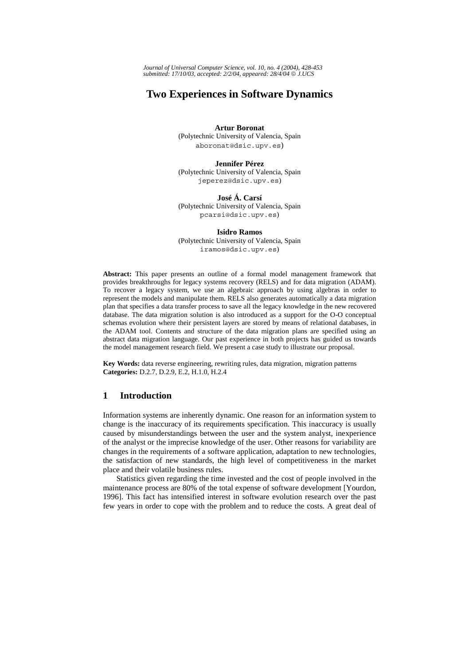*Journal of Universal Computer Science, vol. 10, no. 4 (2004), 428-453 submitted: 17/10/03, accepted: 2/2/04, appeared: 28/4/04* © *J.UCS*

# **Two Experiences in Software Dynamics**

**Artur Boronat**  (Polytechnic University of Valencia, Spain aboronat@dsic.upv.es)

**Jennifer Pérez**  (Polytechnic University of Valencia, Spain jeperez@dsic.upv.es)

**José Á. Carsí**  (Polytechnic University of Valencia, Spain pcarsi@dsic.upv.es)

**Isidro Ramos**  (Polytechnic University of Valencia, Spain iramos@dsic.upv.es)

**Abstract:** This paper presents an outline of a formal model management framework that provides breakthroughs for legacy systems recovery (RELS) and for data migration (ADAM). To recover a legacy system, we use an algebraic approach by using algebras in order to represent the models and manipulate them. RELS also generates automatically a data migration plan that specifies a data transfer process to save all the legacy knowledge in the new recovered database. The data migration solution is also introduced as a support for the O-O conceptual schemas evolution where their persistent layers are stored by means of relational databases, in the ADAM tool. Contents and structure of the data migration plans are specified using an abstract data migration language. Our past experience in both projects has guided us towards the model management research field. We present a case study to illustrate our proposal.

**Key Words:** data reverse engineering, rewriting rules, data migration, migration patterns **Categories:** D.2.7, D.2.9, E.2, H.1.0, H.2.4

# **1 Introduction**

Information systems are inherently dynamic. One reason for an information system to change is the inaccuracy of its requirements specification. This inaccuracy is usually caused by misunderstandings between the user and the system analyst, inexperience of the analyst or the imprecise knowledge of the user. Other reasons for variability are changes in the requirements of a software application, adaptation to new technologies, the satisfaction of new standards, the high level of competitiveness in the market place and their volatile business rules.

Statistics given regarding the time invested and the cost of people involved in the maintenance process are 80% of the total expense of software development [Yourdon, 1996]. This fact has intensified interest in software evolution research over the past few years in order to cope with the problem and to reduce the costs. A great deal of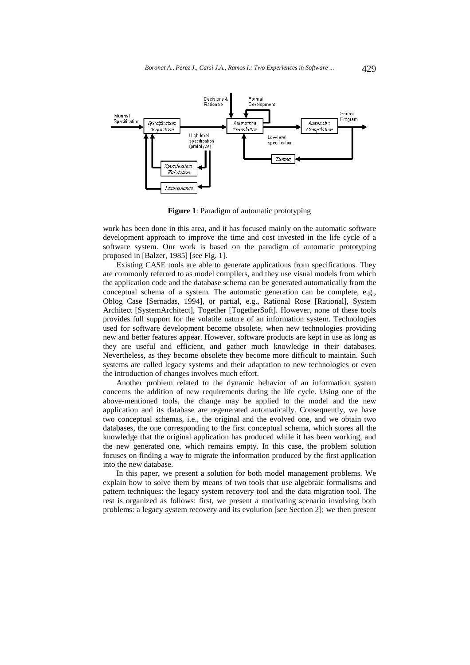

**Figure 1**: Paradigm of automatic prototyping

work has been done in this area, and it has focused mainly on the automatic software development approach to improve the time and cost invested in the life cycle of a software system. Our work is based on the paradigm of automatic prototyping proposed in [Balzer, 1985] [see Fig. 1].

Existing CASE tools are able to generate applications from specifications. They are commonly referred to as model compilers, and they use visual models from which the application code and the database schema can be generated automatically from the conceptual schema of a system. The automatic generation can be complete, e.g., Oblog Case [Sernadas, 1994], or partial, e.g., Rational Rose [Rational], System Architect [SystemArchitect], Together [TogetherSoft]. However, none of these tools provides full support for the volatile nature of an information system. Technologies used for software development become obsolete, when new technologies providing new and better features appear. However, software products are kept in use as long as they are useful and efficient, and gather much knowledge in their databases. Nevertheless, as they become obsolete they become more difficult to maintain. Such systems are called legacy systems and their adaptation to new technologies or even the introduction of changes involves much effort.

Another problem related to the dynamic behavior of an information system concerns the addition of new requirements during the life cycle. Using one of the above-mentioned tools, the change may be applied to the model and the new application and its database are regenerated automatically. Consequently, we have two conceptual schemas, i.e., the original and the evolved one, and we obtain two databases, the one corresponding to the first conceptual schema, which stores all the knowledge that the original application has produced while it has been working, and the new generated one, which remains empty. In this case, the problem solution focuses on finding a way to migrate the information produced by the first application into the new database.

In this paper, we present a solution for both model management problems. We explain how to solve them by means of two tools that use algebraic formalisms and pattern techniques: the legacy system recovery tool and the data migration tool. The rest is organized as follows: first, we present a motivating scenario involving both problems: a legacy system recovery and its evolution [see Section 2]; we then present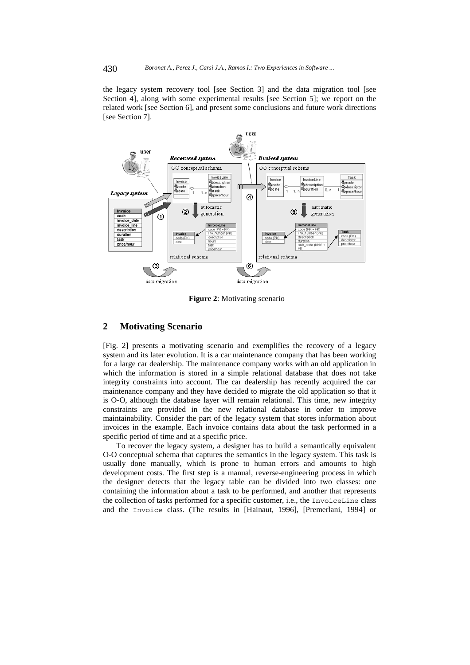the legacy system recovery tool [see Section 3] and the data migration tool [see Section 4], along with some experimental results [see Section 5]; we report on the related work [see Section 6], and present some conclusions and future work directions [see Section 7].



**Figure 2**: Motivating scenario

# **2 Motivating Scenario**

[Fig. 2] presents a motivating scenario and exemplifies the recovery of a legacy system and its later evolution. It is a car maintenance company that has been working for a large car dealership. The maintenance company works with an old application in which the information is stored in a simple relational database that does not take integrity constraints into account. The car dealership has recently acquired the car maintenance company and they have decided to migrate the old application so that it is O-O, although the database layer will remain relational. This time, new integrity constraints are provided in the new relational database in order to improve maintainability. Consider the part of the legacy system that stores information about invoices in the example. Each invoice contains data about the task performed in a specific period of time and at a specific price.

To recover the legacy system, a designer has to build a semantically equivalent O-O conceptual schema that captures the semantics in the legacy system. This task is usually done manually, which is prone to human errors and amounts to high development costs. The first step is a manual, reverse-engineering process in which the designer detects that the legacy table can be divided into two classes: one containing the information about a task to be performed, and another that represents the collection of tasks performed for a specific customer, i.e., the InvoiceLine class and the Invoice class. (The results in [Hainaut, 1996], [Premerlani, 1994] or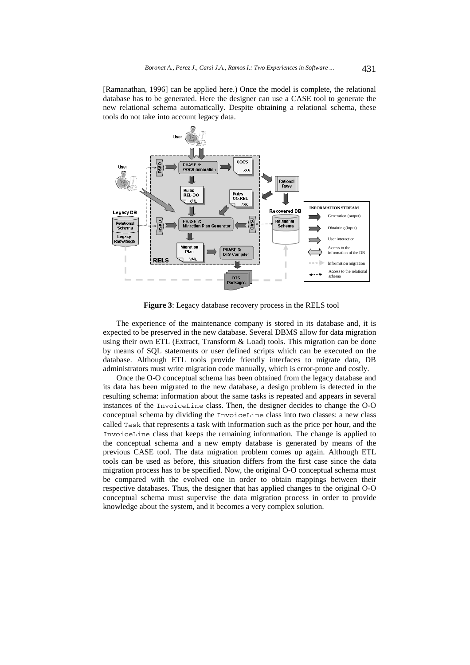[Ramanathan, 1996] can be applied here.) Once the model is complete, the relational database has to be generated. Here the designer can use a CASE tool to generate the new relational schema automatically. Despite obtaining a relational schema, these tools do not take into account legacy data.



**Figure 3**: Legacy database recovery process in the RELS tool

The experience of the maintenance company is stored in its database and, it is expected to be preserved in the new database. Several DBMS allow for data migration using their own ETL (Extract, Transform  $&$  Load) tools. This migration can be done by means of SQL statements or user defined scripts which can be executed on the database. Although ETL tools provide friendly interfaces to migrate data, DB administrators must write migration code manually, which is error-prone and costly.

Once the O-O conceptual schema has been obtained from the legacy database and its data has been migrated to the new database, a design problem is detected in the resulting schema: information about the same tasks is repeated and appears in several instances of the InvoiceLine class. Then, the designer decides to change the O-O conceptual schema by dividing the InvoiceLine class into two classes: a new class called Task that represents a task with information such as the price per hour, and the InvoiceLine class that keeps the remaining information. The change is applied to the conceptual schema and a new empty database is generated by means of the previous CASE tool. The data migration problem comes up again. Although ETL tools can be used as before, this situation differs from the first case since the data migration process has to be specified. Now, the original O-O conceptual schema must be compared with the evolved one in order to obtain mappings between their respective databases. Thus, the designer that has applied changes to the original O-O conceptual schema must supervise the data migration process in order to provide knowledge about the system, and it becomes a very complex solution.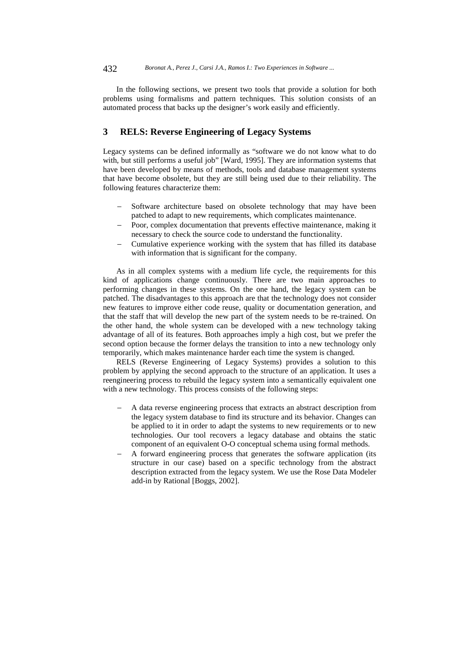In the following sections, we present two tools that provide a solution for both problems using formalisms and pattern techniques. This solution consists of an automated process that backs up the designer's work easily and efficiently.

## **3 RELS: Reverse Engineering of Legacy Systems**

Legacy systems can be defined informally as "software we do not know what to do with, but still performs a useful job" [Ward, 1995]. They are information systems that have been developed by means of methods, tools and database management systems that have become obsolete, but they are still being used due to their reliability. The following features characterize them:

- Software architecture based on obsolete technology that may have been patched to adapt to new requirements, which complicates maintenance.
- Poor, complex documentation that prevents effective maintenance, making it necessary to check the source code to understand the functionality.
- − Cumulative experience working with the system that has filled its database with information that is significant for the company.

As in all complex systems with a medium life cycle, the requirements for this kind of applications change continuously. There are two main approaches to performing changes in these systems. On the one hand, the legacy system can be patched. The disadvantages to this approach are that the technology does not consider new features to improve either code reuse, quality or documentation generation, and that the staff that will develop the new part of the system needs to be re-trained. On the other hand, the whole system can be developed with a new technology taking advantage of all of its features. Both approaches imply a high cost, but we prefer the second option because the former delays the transition to into a new technology only temporarily, which makes maintenance harder each time the system is changed.

RELS (Reverse Engineering of Legacy Systems) provides a solution to this problem by applying the second approach to the structure of an application. It uses a reengineering process to rebuild the legacy system into a semantically equivalent one with a new technology. This process consists of the following steps:

- A data reverse engineering process that extracts an abstract description from the legacy system database to find its structure and its behavior. Changes can be applied to it in order to adapt the systems to new requirements or to new technologies. Our tool recovers a legacy database and obtains the static component of an equivalent O-O conceptual schema using formal methods.
- A forward engineering process that generates the software application (its structure in our case) based on a specific technology from the abstract description extracted from the legacy system. We use the Rose Data Modeler add-in by Rational [Boggs, 2002].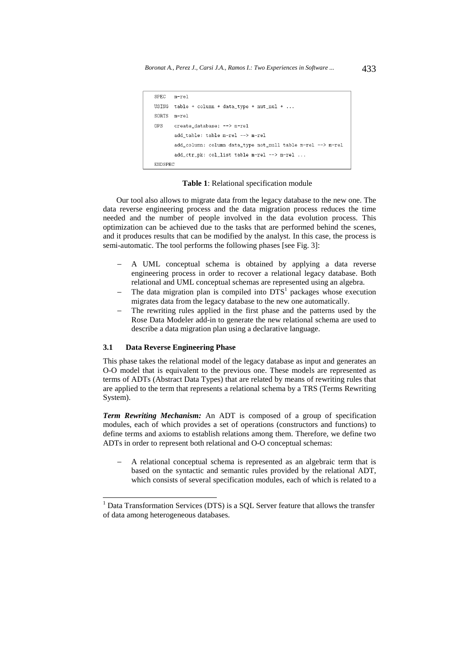```
SPFC
      m-ra]
USING table + column + data_type + nut\_null + ...
SORTS m-rel
nps
       create_database: --> m-rel
       add_table: table m-rel --> m-rel
       add column: column data type not null table m-rel --> m-rel
       add_cctr_pk: col_list table m-rel --> m-rel ...
ENDSPEC
```
#### **Table 1**: Relational specification module

Our tool also allows to migrate data from the legacy database to the new one. The data reverse engineering process and the data migration process reduces the time needed and the number of people involved in the data evolution process. This optimization can be achieved due to the tasks that are performed behind the scenes, and it produces results that can be modified by the analyst. In this case, the process is semi-automatic. The tool performs the following phases [see Fig. 3]:

- A UML conceptual schema is obtained by applying a data reverse engineering process in order to recover a relational legacy database. Both relational and UML conceptual schemas are represented using an algebra.
- − The data migration plan is compiled into DTS<sup>1</sup> packages whose execution migrates data from the legacy database to the new one automatically.
- The rewriting rules applied in the first phase and the patterns used by the Rose Data Modeler add-in to generate the new relational schema are used to describe a data migration plan using a declarative language.

#### **3.1 Data Reverse Engineering Phase**

-

This phase takes the relational model of the legacy database as input and generates an O-O model that is equivalent to the previous one. These models are represented as terms of ADTs (Abstract Data Types) that are related by means of rewriting rules that are applied to the term that represents a relational schema by a TRS (Terms Rewriting System).

*Term Rewriting Mechanism:* An ADT is composed of a group of specification modules, each of which provides a set of operations (constructors and functions) to define terms and axioms to establish relations among them. Therefore, we define two ADTs in order to represent both relational and O-O conceptual schemas:

− A relational conceptual schema is represented as an algebraic term that is based on the syntactic and semantic rules provided by the relational ADT, which consists of several specification modules, each of which is related to a

 $<sup>1</sup>$  Data Transformation Services (DTS) is a SQL Server feature that allows the transfer</sup> of data among heterogeneous databases.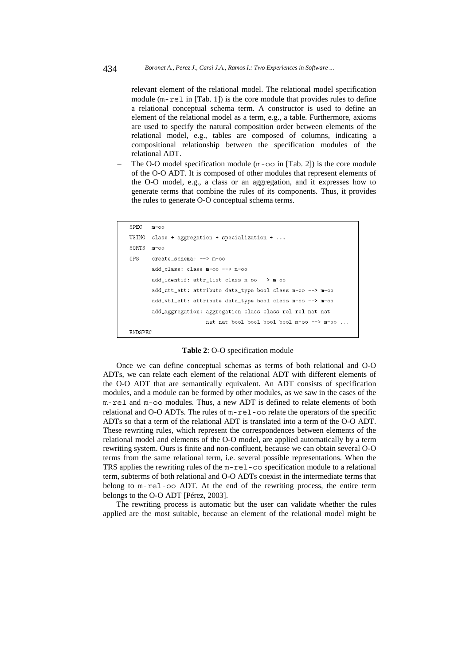relevant element of the relational model. The relational model specification module (m-rel in [Tab. 1]) is the core module that provides rules to define a relational conceptual schema term. A constructor is used to define an element of the relational model as a term, e.g., a table. Furthermore, axioms are used to specify the natural composition order between elements of the relational model, e.g., tables are composed of columns, indicating a compositional relationship between the specification modules of the relational ADT.

The O-O model specification module (m-oo in [Tab. 2]) is the core module of the O-O ADT. It is composed of other modules that represent elements of the O-O model, e.g., a class or an aggregation, and it expresses how to generate terms that combine the rules of its components. Thus, it provides the rules to generate O-O conceptual schema terms.

```
SPEC
      m-oo
USING
      class + aggregation + specialization + ...
SORTS m-00OPS
       create schema: --> m-oo
       add_class: class m-oo --> m-oo
       add_identif: attr_list class m-oo --> m-oo
       add_ctt_att: attribute data_type bool class m-oo --> m-oo
       add_vbl_att: attribute data_type bool class m-oo --> m-oo
       add_aggregation: aggregation class class rol rol nat nat
                        nat nat bool bool bool bool m-oo --> m-oo ...
ENDSPEC
```
### **Table 2**: O-O specification module

Once we can define conceptual schemas as terms of both relational and O-O ADTs, we can relate each element of the relational ADT with different elements of the O-O ADT that are semantically equivalent. An ADT consists of specification modules, and a module can be formed by other modules, as we saw in the cases of the m-rel and m-oo modules. Thus, a new ADT is defined to relate elements of both relational and O-O ADTs. The rules of m-rel-oo relate the operators of the specific ADTs so that a term of the relational ADT is translated into a term of the O-O ADT. These rewriting rules, which represent the correspondences between elements of the relational model and elements of the O-O model, are applied automatically by a term rewriting system. Ours is finite and non-confluent, because we can obtain several O-O terms from the same relational term, i.e. several possible representations. When the TRS applies the rewriting rules of the m-rel-oo specification module to a relational term, subterms of both relational and O-O ADTs coexist in the intermediate terms that belong to m-rel-oo ADT. At the end of the rewriting process, the entire term belongs to the O-O ADT [Pérez, 2003].

The rewriting process is automatic but the user can validate whether the rules applied are the most suitable, because an element of the relational model might be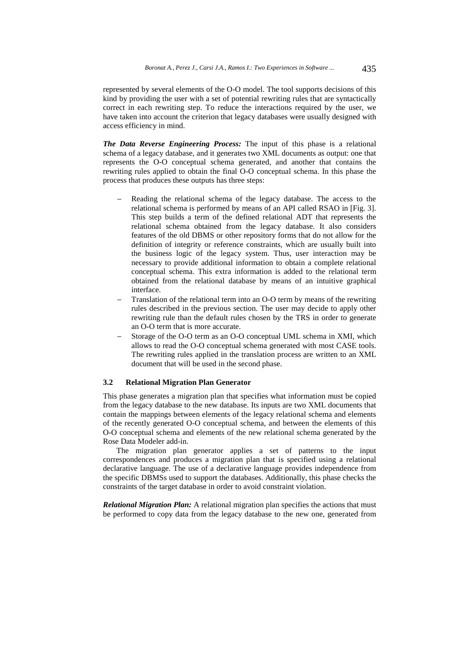represented by several elements of the O-O model. The tool supports decisions of this kind by providing the user with a set of potential rewriting rules that are syntactically correct in each rewriting step. To reduce the interactions required by the user, we have taken into account the criterion that legacy databases were usually designed with access efficiency in mind.

*The Data Reverse Engineering Process:* The input of this phase is a relational schema of a legacy database, and it generates two XML documents as output: one that represents the O-O conceptual schema generated, and another that contains the rewriting rules applied to obtain the final O-O conceptual schema. In this phase the process that produces these outputs has three steps:

- Reading the relational schema of the legacy database. The access to the relational schema is performed by means of an API called RSAO in [Fig. 3]. This step builds a term of the defined relational ADT that represents the relational schema obtained from the legacy database. It also considers features of the old DBMS or other repository forms that do not allow for the definition of integrity or reference constraints, which are usually built into the business logic of the legacy system. Thus, user interaction may be necessary to provide additional information to obtain a complete relational conceptual schema. This extra information is added to the relational term obtained from the relational database by means of an intuitive graphical interface.
- Translation of the relational term into an O-O term by means of the rewriting rules described in the previous section. The user may decide to apply other rewriting rule than the default rules chosen by the TRS in order to generate an O-O term that is more accurate.
- Storage of the O-O term as an O-O conceptual UML schema in XMI, which allows to read the O-O conceptual schema generated with most CASE tools. The rewriting rules applied in the translation process are written to an XML document that will be used in the second phase.

#### **3.2 Relational Migration Plan Generator**

This phase generates a migration plan that specifies what information must be copied from the legacy database to the new database. Its inputs are two XML documents that contain the mappings between elements of the legacy relational schema and elements of the recently generated O-O conceptual schema, and between the elements of this O-O conceptual schema and elements of the new relational schema generated by the Rose Data Modeler add-in.

The migration plan generator applies a set of patterns to the input correspondences and produces a migration plan that is specified using a relational declarative language. The use of a declarative language provides independence from the specific DBMSs used to support the databases. Additionally, this phase checks the constraints of the target database in order to avoid constraint violation.

*Relational Migration Plan:* A relational migration plan specifies the actions that must be performed to copy data from the legacy database to the new one, generated from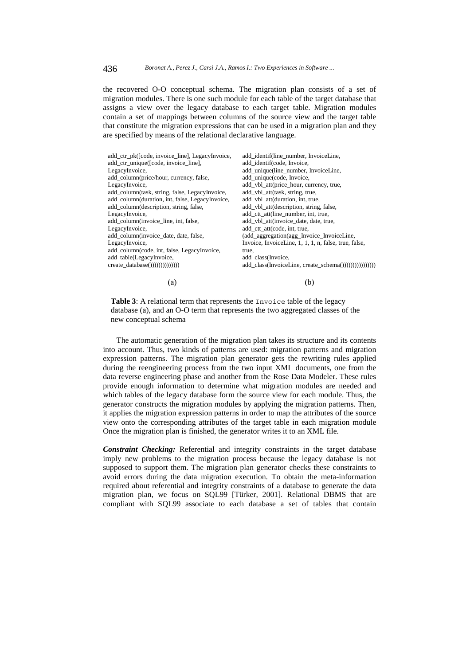the recovered O-O conceptual schema. The migration plan consists of a set of migration modules. There is one such module for each table of the target database that assigns a view over the legacy database to each target table. Migration modules contain a set of mappings between columns of the source view and the target table that constitute the migration expressions that can be used in a migration plan and they are specified by means of the relational declarative language.

| add_ctr_pk([code, invoice_line], LegacyInvoice, | add_identif(line_number, InvoiceLine,                       |
|-------------------------------------------------|-------------------------------------------------------------|
| add_ctr_unique([code, invoice_line],            | add identif(code, Invoice,                                  |
| LegacyInvoice,                                  | add_unique(line_number, InvoiceLine,                        |
| add_column(price/hour, currency, false,         | add_unique(code, Invoice,                                   |
| LegacyInvoice,                                  | add_vbl_att(price_hour, currency, true,                     |
| add_column(task, string, false, LegacyInvoice,  | add_vbl_att(task, string, true,                             |
| add_column(duration, int, false, LegacyInvoice, | add_vbl_att(duration, int, true,                            |
| add_column(description, string, false,          | add_vbl_att(description, string, false,                     |
| LegacyInvoice,                                  | add_ctt_att(line_number, int, true,                         |
| add_column(invoice_line, int, false,            | add_vbl_att(invoice_date, date, true,                       |
| LegacyInvoice,                                  | add ctt att(code, int, true,                                |
| add_column(invoice_date, date, false,           | (add_aggregation(agg_Invoice_InvoiceLine,                   |
| LegacyInvoice,                                  | Invoice, InvoiceLine, 1, 1, 1, n, false, true, false,       |
| add_column(code, int, false, LegacyInvoice,     | true.                                                       |
| add_table(LegacyInvoice,                        | add class(Invoice,                                          |
| create_database()))))))))))))))))))             | add_class(InvoiceLine, create_schema()))))))))))))))))))))) |
| (a)                                             | (b)                                                         |

**Table 3:** A relational term that represents the Invoice table of the legacy database (a), and an O-O term that represents the two aggregated classes of the new conceptual schema

The automatic generation of the migration plan takes its structure and its contents into account. Thus, two kinds of patterns are used: migration patterns and migration expression patterns. The migration plan generator gets the rewriting rules applied during the reengineering process from the two input XML documents, one from the data reverse engineering phase and another from the Rose Data Modeler. These rules provide enough information to determine what migration modules are needed and which tables of the legacy database form the source view for each module. Thus, the generator constructs the migration modules by applying the migration patterns. Then, it applies the migration expression patterns in order to map the attributes of the source view onto the corresponding attributes of the target table in each migration module Once the migration plan is finished, the generator writes it to an XML file.

*Constraint Checking:* Referential and integrity constraints in the target database imply new problems to the migration process because the legacy database is not supposed to support them. The migration plan generator checks these constraints to avoid errors during the data migration execution. To obtain the meta-information required about referential and integrity constraints of a database to generate the data migration plan, we focus on SQL99 [Türker, 2001]. Relational DBMS that are compliant with SQL99 associate to each database a set of tables that contain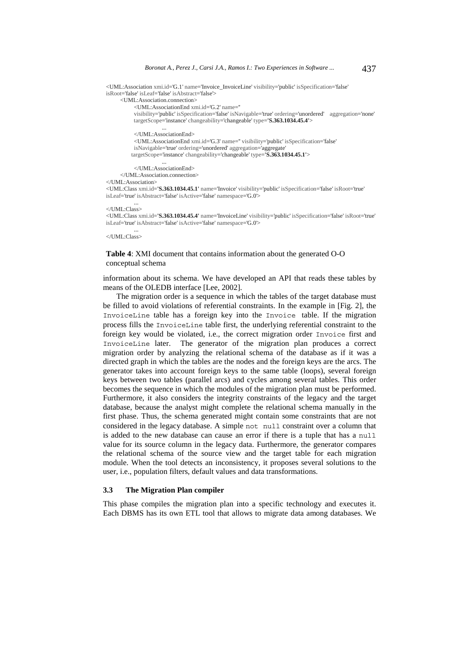<UML:Association xmi.id='G.1' name='Invoice\_InvoiceLine' visibility='public' isSpecification='false' isRoot='false' isLeaf='false' isAbstract='false'> <UML:Association.connection> <UML:AssociationEnd xmi.id='G.2' name='' visibility='public' isSpecification='false' isNavigable='true' ordering='unordered' aggregation='none' targetScope='instance' changeability='changeable' type=**'S.363.1034.45.4'**> ... </UML:AssociationEnd> <UML:AssociationEnd xmi.id='G.3' name='' visibility='public' isSpecification='false' isNavigable='true' ordering='unordered' aggregation='aggregate' targetScope='instance' changeability='changeable' type=**'S.363.1034.45.1'**> ... </UML:AssociationEnd> </UML:Association.connection>

```
</UML:Association>
```
<UML:Class xmi.id=**'S.363.1034.45.1'** name='Invoice' visibility='public' isSpecification='false' isRoot='true' isLeaf='true' isAbstract='false' isActive='false' namespace='G.0'>

```
 ...
</UML:Class>
```
<UML:Class xmi.id=**'S.363.1034.45.4'** name='InvoiceLine' visibility='public' isSpecification='false' isRoot='true' isLeaf='true' isAbstract='false' isActive='false' namespace='G.0'>

 ... </UML:Class>

### **Table 4**: XMI document that contains information about the generated O-O conceptual schema

information about its schema. We have developed an API that reads these tables by means of the OLEDB interface [Lee, 2002].

The migration order is a sequence in which the tables of the target database must be filled to avoid violations of referential constraints. In the example in [Fig. 2], the InvoiceLine table has a foreign key into the Invoice table. If the migration process fills the InvoiceLine table first, the underlying referential constraint to the foreign key would be violated, i.e., the correct migration order Invoice first and InvoiceLine later. The generator of the migration plan produces a correct migration order by analyzing the relational schema of the database as if it was a directed graph in which the tables are the nodes and the foreign keys are the arcs. The generator takes into account foreign keys to the same table (loops), several foreign keys between two tables (parallel arcs) and cycles among several tables. This order becomes the sequence in which the modules of the migration plan must be performed. Furthermore, it also considers the integrity constraints of the legacy and the target database, because the analyst might complete the relational schema manually in the first phase. Thus, the schema generated might contain some constraints that are not considered in the legacy database. A simple not null constraint over a column that is added to the new database can cause an error if there is a tuple that has a null value for its source column in the legacy data. Furthermore, the generator compares the relational schema of the source view and the target table for each migration module. When the tool detects an inconsistency, it proposes several solutions to the user, i.e., population filters, default values and data transformations.

### **3.3 The Migration Plan compiler**

This phase compiles the migration plan into a specific technology and executes it. Each DBMS has its own ETL tool that allows to migrate data among databases. We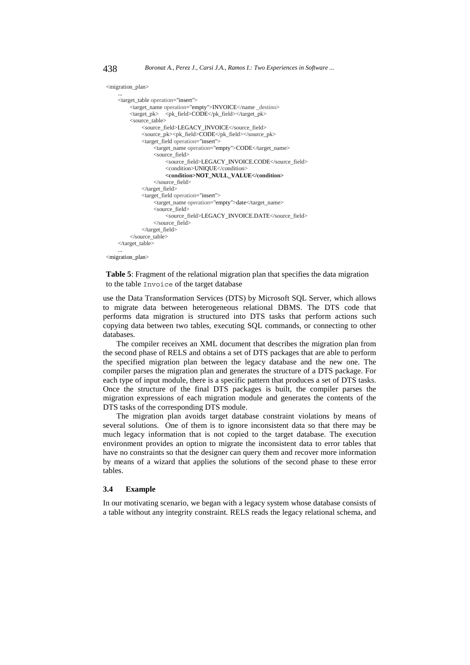<migration\_plan>

```
 ... 
      <target_table operation="insert">
              <target_name operation="empty">INVOICE</name _destino>
             \label{eq:ex1} \mbox{\texttt{\\x} \xspace = \mbox{\texttt{\\x} \xspace} \mbox{\texttt{\\x} \xspace = \mbox{\texttt{\\x} \xspace} \mbox{\texttt{\\x} \xspace} \mbox{\texttt{\\x} \xspace = \mbox{\texttt{\\x} \xspace} \mbox{\texttt{\\x} \xspace} \mbox{\texttt{\\x} \xspace = \mbox{\texttt{\\x} \xspace} \mbox{\texttt{\\x} \xspace} \mbox{\texttt{\\x} \xspace = \mbox{\texttt{\\x} \xspace} \mbox{\texttt{\\x} \xspace} \mbox{\texttt{\\x} \xspace = \m <source_table>
                     <source_field>LEGACY_INVOICE</source_field>
                     <source_pk><pk_field>CODE</pk_field></source_pk>
                     <target_field operation="insert">
                            <target_name operation="empty">CODE</target_name>
                           <source_field>
                                   <source_field>LEGACY_INVOICE.CODE</source_field>
                                  <condition>UNIQUE</condition>
                                   <condition>NOT_NULL_VALUE</condition>
                            </source_field>
                     </target_field>
                     <target_field operation="insert">
                            <target_name operation="empty">date</target_name>
                            <source_field>
                                   <source_field>LEGACY_INVOICE.DATE</source_field>
                            </source_field>
                     </target_field>
              </source_table>
      </target_table> 
 ...
```
<migration\_plan>

**Table 5**: Fragment of the relational migration plan that specifies the data migration to the table Invoice of the target database

use the Data Transformation Services (DTS) by Microsoft SQL Server, which allows to migrate data between heterogeneous relational DBMS. The DTS code that performs data migration is structured into DTS tasks that perform actions such copying data between two tables, executing SQL commands, or connecting to other databases.

The compiler receives an XML document that describes the migration plan from the second phase of RELS and obtains a set of DTS packages that are able to perform the specified migration plan between the legacy database and the new one. The compiler parses the migration plan and generates the structure of a DTS package. For each type of input module, there is a specific pattern that produces a set of DTS tasks. Once the structure of the final DTS packages is built, the compiler parses the migration expressions of each migration module and generates the contents of the DTS tasks of the corresponding DTS module.

The migration plan avoids target database constraint violations by means of several solutions. One of them is to ignore inconsistent data so that there may be much legacy information that is not copied to the target database. The execution environment provides an option to migrate the inconsistent data to error tables that have no constraints so that the designer can query them and recover more information by means of a wizard that applies the solutions of the second phase to these error tables.

### **3.4 Example**

In our motivating scenario, we began with a legacy system whose database consists of a table without any integrity constraint. RELS reads the legacy relational schema, and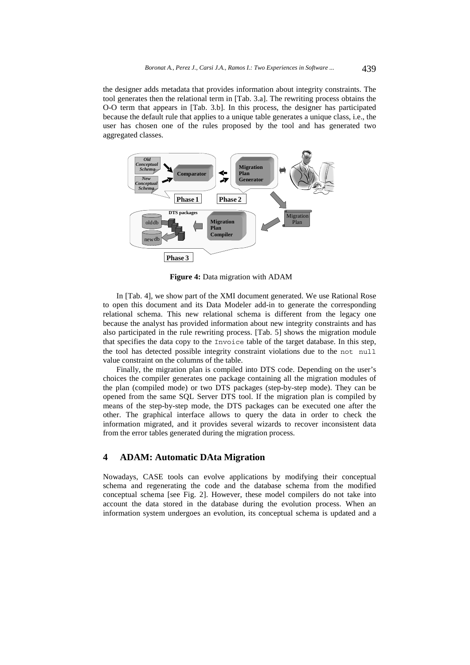the designer adds metadata that provides information about integrity constraints. The tool generates then the relational term in [Tab. 3.a]. The rewriting process obtains the O-O term that appears in [Tab. 3.b]. In this process, the designer has participated because the default rule that applies to a unique table generates a unique class, i.e., the user has chosen one of the rules proposed by the tool and has generated two aggregated classes.



**Figure 4:** Data migration with ADAM

In [Tab. 4], we show part of the XMI document generated. We use Rational Rose to open this document and its Data Modeler add-in to generate the corresponding relational schema. This new relational schema is different from the legacy one because the analyst has provided information about new integrity constraints and has also participated in the rule rewriting process. [Tab. 5] shows the migration module that specifies the data copy to the Invoice table of the target database. In this step, the tool has detected possible integrity constraint violations due to the not null value constraint on the columns of the table.

Finally, the migration plan is compiled into DTS code. Depending on the user's choices the compiler generates one package containing all the migration modules of the plan (compiled mode) or two DTS packages (step-by-step mode). They can be opened from the same SQL Server DTS tool. If the migration plan is compiled by means of the step-by-step mode, the DTS packages can be executed one after the other. The graphical interface allows to query the data in order to check the information migrated, and it provides several wizards to recover inconsistent data from the error tables generated during the migration process.

# **4 ADAM: Automatic DAta Migration**

Nowadays, CASE tools can evolve applications by modifying their conceptual schema and regenerating the code and the database schema from the modified conceptual schema [see Fig. 2]. However, these model compilers do not take into account the data stored in the database during the evolution process. When an information system undergoes an evolution, its conceptual schema is updated and a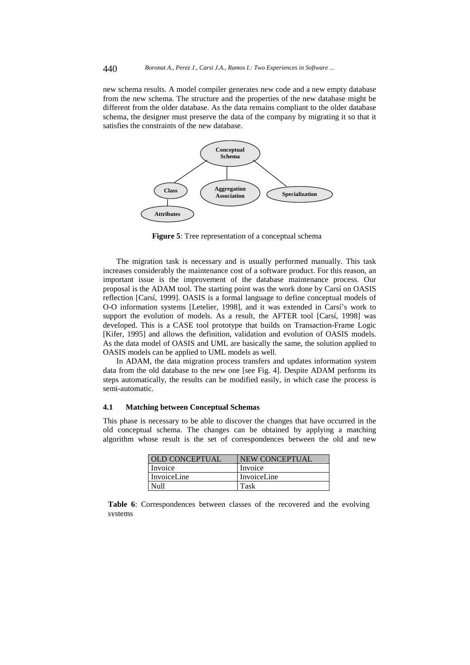new schema results. A model compiler generates new code and a new empty database from the new schema. The structure and the properties of the new database might be different from the older database. As the data remains compliant to the older database schema, the designer must preserve the data of the company by migrating it so that it satisfies the constraints of the new database.



**Figure 5**: Tree representation of a conceptual schema

The migration task is necessary and is usually performed manually. This task increases considerably the maintenance cost of a software product. For this reason, an important issue is the improvement of the database maintenance process. Our proposal is the ADAM tool. The starting point was the work done by Carsí on OASIS reflection [Carsí, 1999]. OASIS is a formal language to define conceptual models of O-O information systems [Letelier, 1998], and it was extended in Carsí's work to support the evolution of models. As a result, the AFTER tool [Carsí, 1998] was developed. This is a CASE tool prototype that builds on Transaction-Frame Logic [Kifer, 1995] and allows the definition, validation and evolution of OASIS models. As the data model of OASIS and UML are basically the same, the solution applied to OASIS models can be applied to UML models as well.

In ADAM, the data migration process transfers and updates information system data from the old database to the new one [see Fig. 4]. Despite ADAM performs its steps automatically, the results can be modified easily, in which case the process is semi-automatic.

### **4.1 Matching between Conceptual Schemas**

This phase is necessary to be able to discover the changes that have occurred in the old conceptual schema. The changes can be obtained by applying a matching algorithm whose result is the set of correspondences between the old and new

| OLD CONCEPTUAL | NEW CONCEPTUAL |
|----------------|----------------|
| Invoice        | Invoice        |
| InvoiceLine    | InvoiceLine    |
| Null           | Task           |

**Table 6**: Correspondences between classes of the recovered and the evolving systems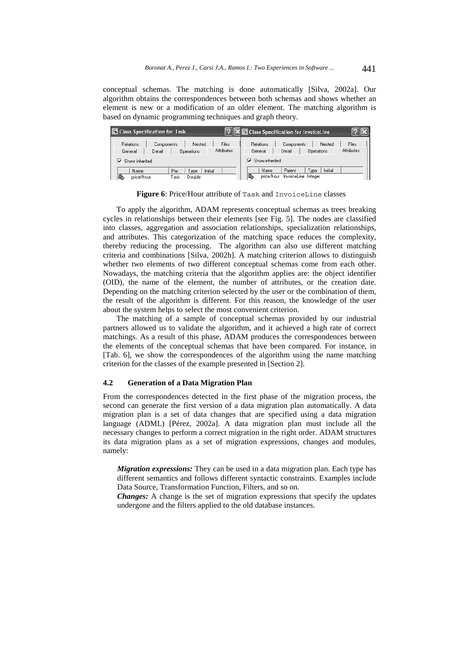conceptual schemas. The matching is done automatically [Silva, 2002a]. Our algorithm obtains the correspondences between both schemas and shows whether an element is new or a modification of an older element. The matching algorithm is based on dynamic programming techniques and graph theory.

|                                                | <sup>4</sup> Class Specification for Task |                   |                   |                   | $\mathbb{E}[\mathbf{X}^{\text{in}}]$ Class Specification for InvoiceLine |                   |            |
|------------------------------------------------|-------------------------------------------|-------------------|-------------------|-------------------|--------------------------------------------------------------------------|-------------------|------------|
| <b>Relations</b>                               | Components                                | Nested            | Files             | <b>Relations</b>  | Components                                                               | Nested            | Files      |
| General                                        | Detail                                    | <b>Operations</b> | <b>Attributes</b> | General           | Detail                                                                   | <b>Operations</b> | Attributes |
| $\nabla$ Show inherited<br>Show inherited<br>⊽ |                                           |                   |                   |                   |                                                                          |                   |            |
| Name                                           | Par                                       | Type              | Initial           | Name              | Parent                                                                   | Initial<br>Tvpe   |            |
| ß.<br>price/hour                               | Fask                                      | Double            |                   | IQ,<br>price/hour | InvoiceLine Integer                                                      |                   |            |

**Figure 6**: Price/Hour attribute of Task and InvoiceLine classes

To apply the algorithm, ADAM represents conceptual schemas as trees breaking cycles in relationships between their elements [see Fig. 5]. The nodes are classified into classes, aggregation and association relationships, specialization relationships, and attributes. This categorization of the matching space reduces the complexity, thereby reducing the processing. The algorithm can also use different matching criteria and combinations [Silva, 2002b]. A matching criterion allows to distinguish whether two elements of two different conceptual schemas come from each other. Nowadays, the matching criteria that the algorithm applies are: the object identifier (OID), the name of the element, the number of attributes, or the creation date. Depending on the matching criterion selected by the user or the combination of them, the result of the algorithm is different. For this reason, the knowledge of the user about the system helps to select the most convenient criterion.

The matching of a sample of conceptual schemas provided by our industrial partners allowed us to validate the algorithm, and it achieved a high rate of correct matchings. As a result of this phase, ADAM produces the correspondences between the elements of the conceptual schemas that have been compared. For instance, in [Tab. 6], we show the correspondences of the algorithm using the name matching criterion for the classes of the example presented in [Section 2].

#### **4.2 Generation of a Data Migration Plan**

From the correspondences detected in the first phase of the migration process, the second can generate the first version of a data migration plan automatically. A data migration plan is a set of data changes that are specified using a data migration language (ADML) [Pérez, 2002a]. A data migration plan must include all the necessary changes to perform a correct migration in the right order. ADAM structures its data migration plans as a set of migration expressions, changes and modules, namely:

*Migration expressions:* They can be used in a data migration plan. Each type has different semantics and follows different syntactic constraints. Examples include Data Source, Transformation Function, Filters, and so on.

*Changes:* A change is the set of migration expressions that specify the updates undergone and the filters applied to the old database instances.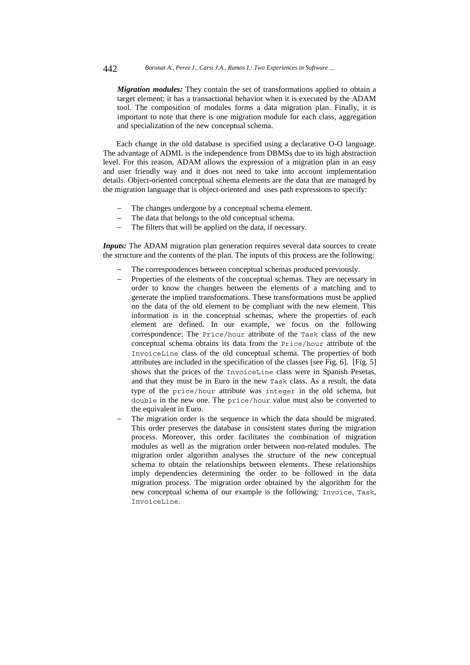*Migration modules:* They contain the set of transformations applied to obtain a target element; it has a transactional behavior when it is executed by the ADAM tool. The composition of modules forms a data migration plan. Finally, it is important to note that there is one migration module for each class, aggregation and specialization of the new conceptual schema.

Each change in the old database is specified using a declarative O-O language. The advantage of ADML is the independence from DBMSs due to its high abstraction level. For this reason, ADAM allows the expression of a migration plan in an easy and user friendly way and it does not need to take into account implementation details. Object-oriented conceptual schema elements are the data that are managed by the migration language that is object-oriented and uses path expressions to specify:

- The changes undergone by a conceptual schema element.
- The data that belongs to the old conceptual schema.
- The filters that will be applied on the data, if necessary.

*Inputs*: The ADAM migration plan generation requires several data sources to create the structure and the contents of the plan. The inputs of this process are the following:

- The correspondences between conceptual schemas produced previously.
- − Properties of the elements of the conceptual schemas. They are necessary in order to know the changes between the elements of a matching and to generate the implied transformations. These transformations must be applied on the data of the old element to be compliant with the new element. This information is in the conceptual schemas, where the properties of each element are defined. In our example, we focus on the following correspondence: The Price/hour attribute of the Task class of the new conceptual schema obtains its data from the Price/hour attribute of the InvoiceLine class of the old conceptual schema. The properties of both attributes are included in the specification of the classes [see Fig. 6]. [Fig. 5] shows that the prices of the InvoiceLine class were in Spanish Pesetas, and that they must be in Euro in the new Task class. As a result, the data type of the price/hour attribute was integer in the old schema, but double in the new one. The price/hour value must also be converted to the equivalent in Euro.
- The migration order is the sequence in which the data should be migrated. This order preserves the database in consistent states during the migration process. Moreover, this order facilitates the combination of migration modules as well as the migration order between non-related modules. The migration order algorithm analyses the structure of the new conceptual schema to obtain the relationships between elements. These relationships imply dependencies determining the order to be followed in the data migration process. The migration order obtained by the algorithm for the new conceptual schema of our example is the following: Invoice*,* Task*,*  InvoiceLine*.*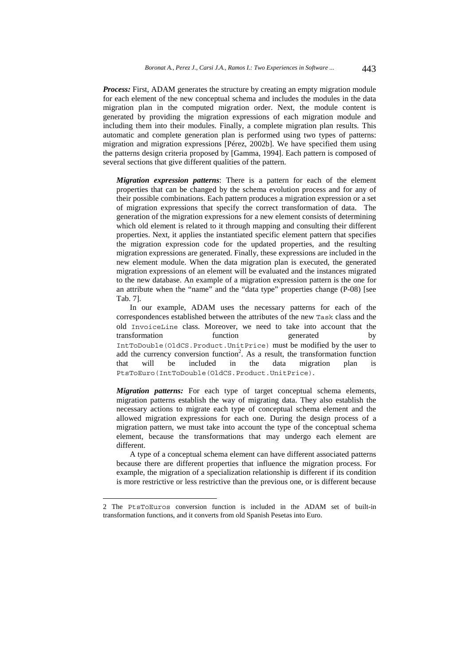**Process:** First, ADAM generates the structure by creating an empty migration module for each element of the new conceptual schema and includes the modules in the data migration plan in the computed migration order. Next, the module content is generated by providing the migration expressions of each migration module and including them into their modules. Finally, a complete migration plan results. This automatic and complete generation plan is performed using two types of patterns: migration and migration expressions [Pérez, 2002b]. We have specified them using the patterns design criteria proposed by [Gamma, 1994]. Each pattern is composed of several sections that give different qualities of the pattern.

*Migration expression patterns*: There is a pattern for each of the element properties that can be changed by the schema evolution process and for any of their possible combinations. Each pattern produces a migration expression or a set of migration expressions that specify the correct transformation of data. The generation of the migration expressions for a new element consists of determining which old element is related to it through mapping and consulting their different properties. Next, it applies the instantiated specific element pattern that specifies the migration expression code for the updated properties, and the resulting migration expressions are generated. Finally, these expressions are included in the new element module. When the data migration plan is executed, the generated migration expressions of an element will be evaluated and the instances migrated to the new database. An example of a migration expression pattern is the one for an attribute when the "name" and the "data type" properties change (P-08) [see Tab. 7].

In our example, ADAM uses the necessary patterns for each of the correspondences established between the attributes of the new Task class and the old InvoiceLine class. Moreover, we need to take into account that the transformation function generated by IntToDouble(OldCS.Product.UnitPrice) must be modified by the user to add the currency conversion function<sup>2</sup>. As a result, the transformation function that will be included in the data migration plan PtsToEuro(IntToDouble(OldCS.Product.UnitPrice).

*Migration patterns:* For each type of target conceptual schema elements, migration patterns establish the way of migrating data. They also establish the necessary actions to migrate each type of conceptual schema element and the allowed migration expressions for each one. During the design process of a migration pattern, we must take into account the type of the conceptual schema element, because the transformations that may undergo each element are different.

A type of a conceptual schema element can have different associated patterns because there are different properties that influence the migration process. For example, the migration of a specialization relationship is different if its condition is more restrictive or less restrictive than the previous one, or is different because

-

<sup>2</sup> The PtsToEuros conversion function is included in the ADAM set of built-in transformation functions, and it converts from old Spanish Pesetas into Euro.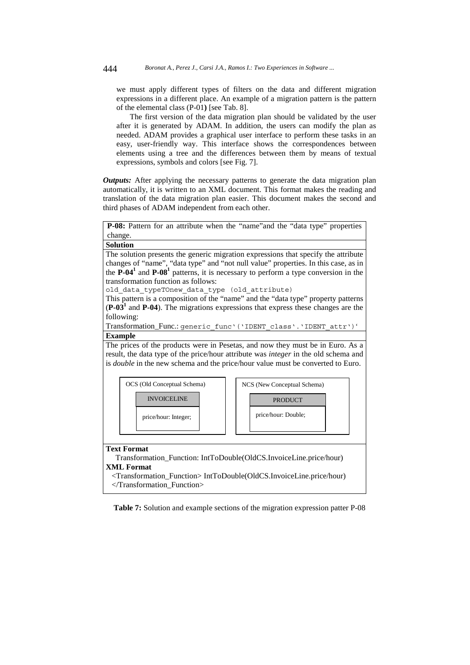we must apply different types of filters on the data and different migration expressions in a different place. An example of a migration pattern is the pattern of the elemental class (P-01**)** [see Tab. 8].

The first version of the data migration plan should be validated by the user after it is generated by ADAM. In addition, the users can modify the plan as needed. ADAM provides a graphical user interface to perform these tasks in an easy, user-friendly way. This interface shows the correspondences between elements using a tree and the differences between them by means of textual expressions, symbols and colors [see Fig. 7].

*Outputs:* After applying the necessary patterns to generate the data migration plan automatically, it is written to an XML document. This format makes the reading and translation of the data migration plan easier. This document makes the second and third phases of ADAM independent from each other.



**Table 7:** Solution and example sections of the migration expression patter P-08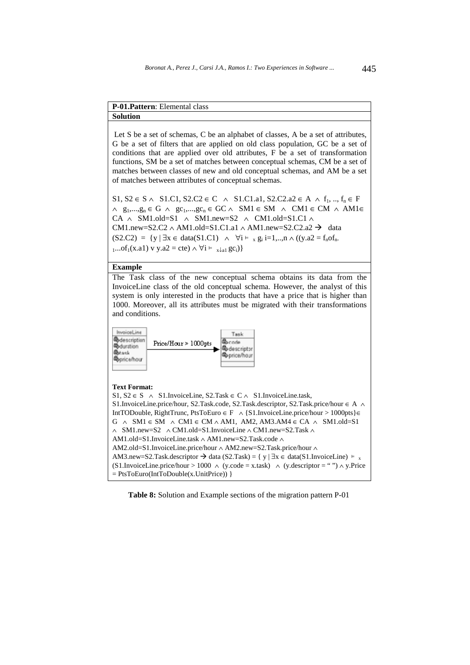# **P-01.Pattern**: Elemental class

**Solution** 

Let S be a set of schemas, C be an alphabet of classes, A be a set of attributes, G be a set of filters that are applied on old class population, GC be a set of conditions that are applied over old attributes, F be a set of transformation functions, SM be a set of matches between conceptual schemas, CM be a set of matches between classes of new and old conceptual schemas, and AM be a set of matches between attributes of conceptual schemas.

S1, S2 ∈ S ∧ S1.C1, S2.C2 ∈ C ∧ S1.C1.a1, S2.C2.a2 ∈ A ∧ f<sub>1</sub>, .., f<sub>n</sub> ∈ F  $\land$  g<sub>1</sub>,...,g<sub>n</sub> ∈ G  $\land$  gc<sub>1</sub>,...,gc<sub>n</sub> ∈ GC  $\land$  SM1 ∈ SM  $\land$  CM1 ∈ CM  $\land$  AM1 ∈ CA  $\land$  SM1.old=S1  $\land$  SM1.new=S2  $\land$  CM1.old=S1.C1  $\land$ CM1.new=S2.C2 ∧ AM1.old=S1.C1.a1 ∧ AM1.new=S2.C2.a2  $\rightarrow$  data (S2.C2) = {y | ∃x ∈ data(S1.C1) ∧ ∀i ⊨ x gi i=1,..,n ∧ ((y.a2 = fnofn- $1...of_1(x.a1)$  v y.a2 = cte)  $\land \forall i \vDash \exists x \downarrow a1$  gc<sub>i</sub>)}

#### **Example**

The Task class of the new conceptual schema obtains its data from the InvoiceLine class of the old conceptual schema. However, the analyst of this system is only interested in the products that have a price that is higher than 1000. Moreover, all its attributes must be migrated with their transformations and conditions.



### **Text Format:**  S1, S2 ∈ S ∧ S1.InvoiceLine, S2.Task ∈ C ∧ S1.InvoiceLine.task, S1.InvoiceLine.price/hour, S2.Task.code, S2.Task.descriptor, S2.Task.price/hour ∈ A ∧ IntTODouble, RightTrunc, PtsToEuro ∈ F ∧ {S1.InvoiceLine.price/hour > 1000pts}∈  $G \wedge SM1 \in SM \wedge CM1 \in CM \wedge AM1$ , AM2, AM3.AM4  $\in CA \wedge SM1$ .old=S1 ∧ SM1.new=S2 ∧ CM1.old=S1.InvoiceLine ∧ CM1.new=S2.Task ∧ AM1.old=S1.InvoiceLine.task ∧ AM1.new=S2.Task.code ∧ AM2.old=S1.InvoiceLine.price/hour ∧ AM2.new=S2.Task.price/hour ∧ AM3.new=S2.Task.descriptor  $\rightarrow$  data (S2.Task) = { y | ∃x ∈ data(S1.InvoiceLine)  $\models$  $\text{AWS}.$ new=S2. rask.descriptor  $\rightarrow$  data (S2. rask) = { y |  $\exists x \in$  data(S1. InvoiceLine)  $\vdash x$ <br>(S1. InvoiceLine. price/hour > 1000 ∧ (y.code = x.task) ∧ (y.descriptor = "") ∧ y. Price  $=$  PtsToEuro(IntToDouble(x.UnitPrice)) }

**Table 8:** Solution and Example sections of the migration pattern P-01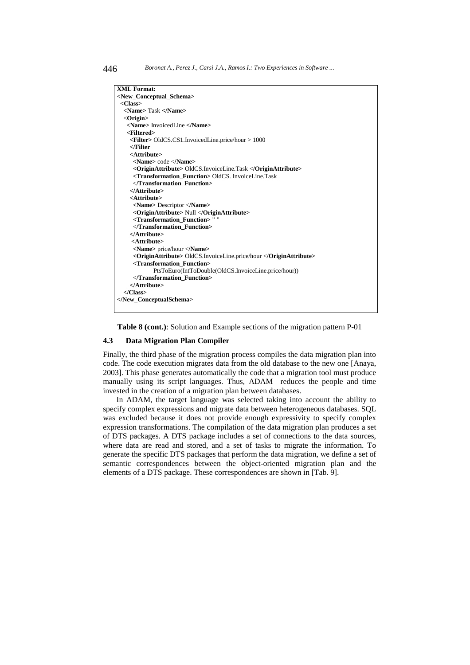| XML Format:                                                             |
|-------------------------------------------------------------------------|
| <new conceptual="" schema=""></new>                                     |
| $<$ Class $>$                                                           |
| <name>Task </name>                                                      |
| $\langle$ Origin $\rangle$                                              |
| <name> InvoicedLine </name>                                             |
| <filtered></filtered>                                                   |
| $\le$ Filter> OldCS.CS1.InvoicedLine.price/hour > 1000                  |
| $\epsilon$ /Filter                                                      |
| <attribute></attribute>                                                 |
| <name> code </name>                                                     |
| < <b>OriginAttribute&gt;</b> OldCS.InvoiceLine.Task <b OriginAttribute> |
| <transformation function=""> OldCS. InvoiceLine.Task</transformation>   |
|                                                                         |
|                                                                         |
| <attribute></attribute>                                                 |
| <name> Descriptor </name>                                               |
| <originattribute> Null </originattribute>                               |
| <transformation_function>""</transformation_function>                   |
|                                                                         |
|                                                                         |
| <attribute></attribute>                                                 |
| <name> price/hour </name>                                               |
| <originattribute> OldCS.InvoiceLine.price/hour </originattribute>       |
| <transformation function=""></transformation>                           |
| PtsToEuro(IntToDouble(OldCS.InvoiceLine.price/hour))                    |
|                                                                         |
| $<$ /Attribute>                                                         |
| $\langle$ /Class>                                                       |
|                                                                         |
|                                                                         |
|                                                                         |

**Table 8 (cont.)**: Solution and Example sections of the migration pattern P-01

### **4.3 Data Migration Plan Compiler**

Finally, the third phase of the migration process compiles the data migration plan into code. The code execution migrates data from the old database to the new one [Anaya, 2003]. This phase generates automatically the code that a migration tool must produce manually using its script languages. Thus, ADAM reduces the people and time invested in the creation of a migration plan between databases.

In ADAM, the target language was selected taking into account the ability to specify complex expressions and migrate data between heterogeneous databases. SQL was excluded because it does not provide enough expressivity to specify complex expression transformations. The compilation of the data migration plan produces a set of DTS packages. A DTS package includes a set of connections to the data sources, where data are read and stored, and a set of tasks to migrate the information. To generate the specific DTS packages that perform the data migration, we define a set of semantic correspondences between the object-oriented migration plan and the elements of a DTS package. These correspondences are shown in [Tab. 9].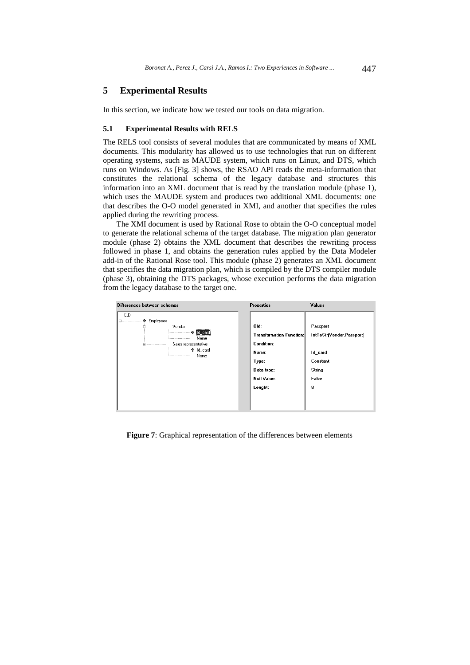# **5 Experimental Results**

In this section, we indicate how we tested our tools on data migration.

### **5.1 Experimental Results with RELS**

The RELS tool consists of several modules that are communicated by means of XML documents. This modularity has allowed us to use technologies that run on different operating systems, such as MAUDE system, which runs on Linux, and DTS, which runs on Windows. As [Fig. 3] shows, the RSAO API reads the meta-information that constitutes the relational schema of the legacy database and structures this information into an XML document that is read by the translation module (phase 1), which uses the MAUDE system and produces two additional XML documents: one that describes the O-O model generated in XMI, and another that specifies the rules applied during the rewriting process.

The XMI document is used by Rational Rose to obtain the O-O conceptual model to generate the relational schema of the target database. The migration plan generator module (phase 2) obtains the XML document that describes the rewriting process followed in phase 1, and obtains the generation rules applied by the Data Modeler add-in of the Rational Rose tool. This module (phase 2) generates an XML document that specifies the data migration plan, which is compiled by the DTS compiler module (phase 3), obtaining the DTS packages, whose execution performs the data migration from the legacy database to the target one.

| Differences between schemas                                                                                              | <b>Properties</b>                                                                                                             | Values                                                                               |
|--------------------------------------------------------------------------------------------------------------------------|-------------------------------------------------------------------------------------------------------------------------------|--------------------------------------------------------------------------------------|
| E.D<br>← Employees<br>Vendor<br>-------------------------<br>- ↔ ld_card<br><br>Name<br><br>Sales representative<br>Name | Old:<br><b>Transformation Function:</b><br><b>Condition:</b><br>Name:<br>Type:<br>Data type:<br><b>Null Value:</b><br>Lenght: | Passport<br>IntToStr[Vendor.Passport]<br>Id_card<br>Constant<br>String<br>False<br>8 |

**Figure 7**: Graphical representation of the differences between elements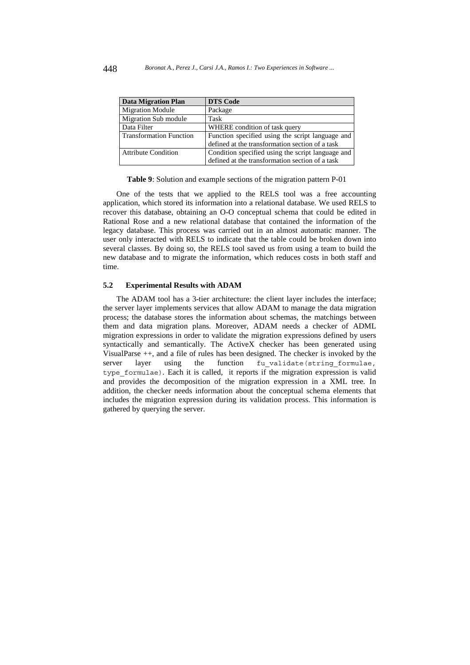| <b>Data Migration Plan</b>     | <b>DTS Code</b>                                   |
|--------------------------------|---------------------------------------------------|
| <b>Migration Module</b>        | Package                                           |
| Migration Sub module           | Task                                              |
| Data Filter                    | WHERE condition of task query                     |
| <b>Transformation Function</b> | Function specified using the script language and  |
|                                | defined at the transformation section of a task   |
| <b>Attribute Condition</b>     | Condition specified using the script language and |
|                                | defined at the transformation section of a task   |

**Table 9**: Solution and example sections of the migration pattern P-01

One of the tests that we applied to the RELS tool was a free accounting application, which stored its information into a relational database. We used RELS to recover this database, obtaining an O-O conceptual schema that could be edited in Rational Rose and a new relational database that contained the information of the legacy database. This process was carried out in an almost automatic manner. The user only interacted with RELS to indicate that the table could be broken down into several classes. By doing so, the RELS tool saved us from using a team to build the new database and to migrate the information, which reduces costs in both staff and time.

### **5.2 Experimental Results with ADAM**

The ADAM tool has a 3-tier architecture: the client layer includes the interface; the server layer implements services that allow ADAM to manage the data migration process; the database stores the information about schemas, the matchings between them and data migration plans. Moreover, ADAM needs a checker of ADML migration expressions in order to validate the migration expressions defined by users syntactically and semantically. The ActiveX checker has been generated using VisualParse ++, and a file of rules has been designed. The checker is invoked by the server layer using the function fu\_validate(string\_formulae, type\_formulae)*.* Each it is called, it reports if the migration expression is valid and provides the decomposition of the migration expression in a XML tree*.* In addition, the checker needs information about the conceptual schema elements that includes the migration expression during its validation process. This information is gathered by querying the server.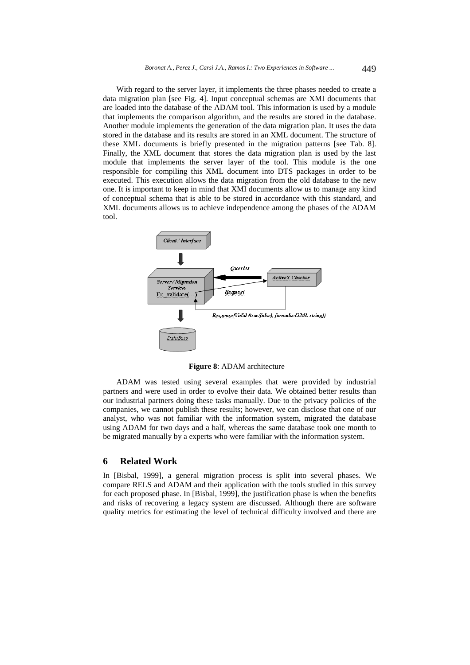With regard to the server layer, it implements the three phases needed to create a data migration plan [see Fig. 4]. Input conceptual schemas are XMI documents that are loaded into the database of the ADAM tool. This information is used by a module that implements the comparison algorithm, and the results are stored in the database. Another module implements the generation of the data migration plan. It uses the data stored in the database and its results are stored in an XML document. The structure of these XML documents is briefly presented in the migration patterns [see Tab. 8]. Finally, the XML document that stores the data migration plan is used by the last module that implements the server layer of the tool. This module is the one responsible for compiling this XML document into DTS packages in order to be executed. This execution allows the data migration from the old database to the new one. It is important to keep in mind that XMI documents allow us to manage any kind of conceptual schema that is able to be stored in accordance with this standard, and XML documents allows us to achieve independence among the phases of the ADAM tool.



**Figure 8**: ADAM architecture

ADAM was tested using several examples that were provided by industrial partners and were used in order to evolve their data. We obtained better results than our industrial partners doing these tasks manually. Due to the privacy policies of the companies, we cannot publish these results; however, we can disclose that one of our analyst, who was not familiar with the information system, migrated the database using ADAM for two days and a half, whereas the same database took one month to be migrated manually by a experts who were familiar with the information system.

## **6 Related Work**

In [Bisbal, 1999], a general migration process is split into several phases. We compare RELS and ADAM and their application with the tools studied in this survey for each proposed phase. In [Bisbal, 1999], the justification phase is when the benefits and risks of recovering a legacy system are discussed. Although there are software quality metrics for estimating the level of technical difficulty involved and there are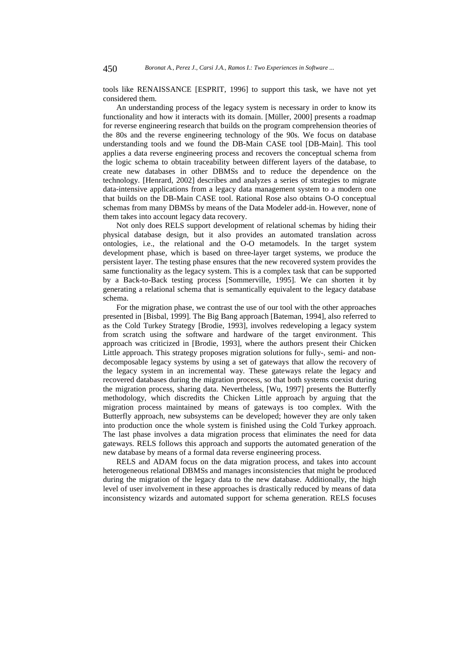tools like RENAISSANCE [ESPRIT, 1996] to support this task, we have not yet considered them.

An understanding process of the legacy system is necessary in order to know its functionality and how it interacts with its domain. [Müller, 2000] presents a roadmap for reverse engineering research that builds on the program comprehension theories of the 80s and the reverse engineering technology of the 90s. We focus on database understanding tools and we found the DB-Main CASE tool [DB-Main]. This tool applies a data reverse engineering process and recovers the conceptual schema from the logic schema to obtain traceability between different layers of the database, to create new databases in other DBMSs and to reduce the dependence on the technology. [Henrard, 2002] describes and analyzes a series of strategies to migrate data-intensive applications from a legacy data management system to a modern one that builds on the DB-Main CASE tool. Rational Rose also obtains O-O conceptual schemas from many DBMSs by means of the Data Modeler add-in. However, none of them takes into account legacy data recovery.

Not only does RELS support development of relational schemas by hiding their physical database design, but it also provides an automated translation across ontologies, i.e., the relational and the O-O metamodels. In the target system development phase, which is based on three-layer target systems, we produce the persistent layer. The testing phase ensures that the new recovered system provides the same functionality as the legacy system. This is a complex task that can be supported by a Back-to-Back testing process [Sommerville, 1995]. We can shorten it by generating a relational schema that is semantically equivalent to the legacy database schema.

For the migration phase, we contrast the use of our tool with the other approaches presented in [Bisbal, 1999]. The Big Bang approach [Bateman, 1994], also referred to as the Cold Turkey Strategy [Brodie, 1993], involves redeveloping a legacy system from scratch using the software and hardware of the target environment. This approach was criticized in [Brodie, 1993], where the authors present their Chicken Little approach. This strategy proposes migration solutions for fully-, semi- and nondecomposable legacy systems by using a set of gateways that allow the recovery of the legacy system in an incremental way. These gateways relate the legacy and recovered databases during the migration process, so that both systems coexist during the migration process, sharing data. Nevertheless, [Wu, 1997] presents the Butterfly methodology, which discredits the Chicken Little approach by arguing that the migration process maintained by means of gateways is too complex. With the Butterfly approach, new subsystems can be developed; however they are only taken into production once the whole system is finished using the Cold Turkey approach. The last phase involves a data migration process that eliminates the need for data gateways. RELS follows this approach and supports the automated generation of the new database by means of a formal data reverse engineering process.

RELS and ADAM focus on the data migration process, and takes into account heterogeneous relational DBMSs and manages inconsistencies that might be produced during the migration of the legacy data to the new database. Additionally, the high level of user involvement in these approaches is drastically reduced by means of data inconsistency wizards and automated support for schema generation. RELS focuses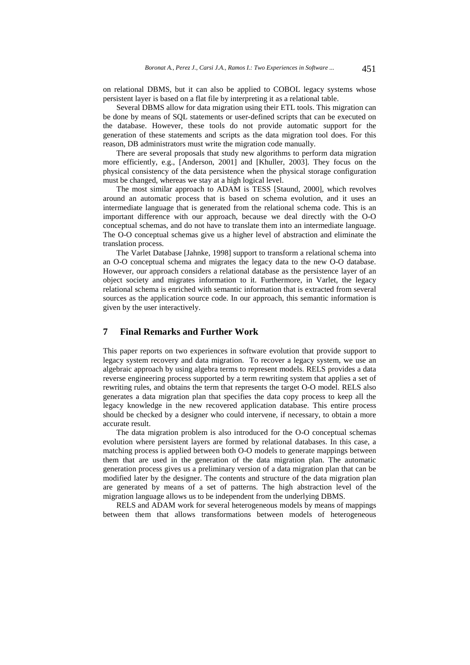on relational DBMS, but it can also be applied to COBOL legacy systems whose persistent layer is based on a flat file by interpreting it as a relational table.

Several DBMS allow for data migration using their ETL tools. This migration can be done by means of SQL statements or user-defined scripts that can be executed on the database. However, these tools do not provide automatic support for the generation of these statements and scripts as the data migration tool does. For this reason, DB administrators must write the migration code manually.

There are several proposals that study new algorithms to perform data migration more efficiently, e.g., [Anderson, 2001] and [Khuller, 2003]. They focus on the physical consistency of the data persistence when the physical storage configuration must be changed, whereas we stay at a high logical level.

The most similar approach to ADAM is TESS [Staund, 2000], which revolves around an automatic process that is based on schema evolution, and it uses an intermediate language that is generated from the relational schema code. This is an important difference with our approach, because we deal directly with the O-O conceptual schemas, and do not have to translate them into an intermediate language. The O-O conceptual schemas give us a higher level of abstraction and eliminate the translation process.

The Varlet Database [Jahnke, 1998] support to transform a relational schema into an O-O conceptual schema and migrates the legacy data to the new O-O database. However, our approach considers a relational database as the persistence layer of an object society and migrates information to it. Furthermore, in Varlet, the legacy relational schema is enriched with semantic information that is extracted from several sources as the application source code. In our approach, this semantic information is given by the user interactively.

# **7 Final Remarks and Further Work**

This paper reports on two experiences in software evolution that provide support to legacy system recovery and data migration. To recover a legacy system, we use an algebraic approach by using algebra terms to represent models. RELS provides a data reverse engineering process supported by a term rewriting system that applies a set of rewriting rules, and obtains the term that represents the target O-O model. RELS also generates a data migration plan that specifies the data copy process to keep all the legacy knowledge in the new recovered application database. This entire process should be checked by a designer who could intervene, if necessary, to obtain a more accurate result.

The data migration problem is also introduced for the O-O conceptual schemas evolution where persistent layers are formed by relational databases. In this case, a matching process is applied between both O-O models to generate mappings between them that are used in the generation of the data migration plan. The automatic generation process gives us a preliminary version of a data migration plan that can be modified later by the designer. The contents and structure of the data migration plan are generated by means of a set of patterns. The high abstraction level of the migration language allows us to be independent from the underlying DBMS.

RELS and ADAM work for several heterogeneous models by means of mappings between them that allows transformations between models of heterogeneous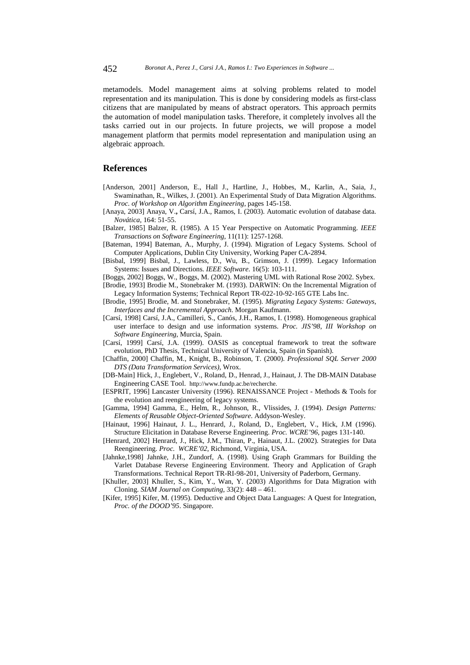metamodels. Model management aims at solving problems related to model representation and its manipulation. This is done by considering models as first-class citizens that are manipulated by means of abstract operators. This approach permits the automation of model manipulation tasks. Therefore, it completely involves all the tasks carried out in our projects. In future projects, we will propose a model management platform that permits model representation and manipulation using an algebraic approach.

## **References**

- [Anderson, 2001] Anderson, E., Hall J., Hartline, J., Hobbes, M., Karlin, A., Saia, J., Swaminathan, R., Wilkes, J. (2001). An Experimental Study of Data Migration Algorithms. *Proc. of Workshop on Algorithm Engineering*, pages 145-158.
- [Anaya, 2003] Anaya, V.**,** Carsí, J.A., Ramos, I. (2003). Automatic evolution of database data. *Novática*, 164: 51-55.
- [Balzer, 1985] Balzer, R. (1985). A 15 Year Perspective on Automatic Programming. *IEEE Transactions on Software Engineering*, 11(11): 1257-1268.
- [Bateman, 1994] Bateman, A., Murphy, J. (1994). Migration of Legacy Systems. School of Computer Applications, Dublin City University, Working Paper CA-2894.
- [Bisbal, 1999] Bisbal, J., Lawless, D., Wu, B., Grimson, J. (1999). Legacy Information Systems: Issues and Directions. *IEEE Software*. 16(5): 103-111.
- [Boggs, 2002] Boggs, W., Boggs, M. (2002). Mastering UML with Rational Rose 2002. Sybex.
- [Brodie, 1993] Brodie M., Stonebraker M. (1993). DARWIN: On the Incremental Migration of Legacy Information Systems; Technical Report TR-022-10-92-165 GTE Labs Inc.
- [Brodie, 1995] Brodie, M. and Stonebraker, M. (1995). *Migrating Legacy Systems: Gateways, Interfaces and the Incremental Approach*. Morgan Kaufmann.
- [Carsí, 1998] Carsí, J.A., Camilleri, S., Canós, J.H., Ramos, I. (1998). Homogeneous graphical user interface to design and use information systems. *Proc. JIS'98, III Workshop on Software Engineering*, Murcia, Spain.
- [Carsí, 1999] Carsí, J.A. (1999). OASIS as conceptual framework to treat the software evolution, PhD Thesis, Technical University of Valencia, Spain (in Spanish).
- [Chaffin, 2000] Chaffin, M., Knight, B., Robinson, T. (2000). *Professional SQL Server 2000 DTS (Data Transformation Services)*, Wrox.
- [DB-Main] Hick, J., Englebert, V., Roland, D., Henrad, J., Hainaut, J. The DB-MAIN Database Engineering CASE Tool. http://www.fundp.ac.be/recherche.
- [ESPRIT, 1996] Lancaster University (1996). RENAISSANCE Project Methods & Tools for the evolution and reengineering of legacy systems.
- [Gamma, 1994] Gamma, E., Helm, R., Johnson, R., Vlissides, J. (1994). *Design Patterns: Elements of Reusable Object-Oriented Software*. Addyson-Wesley.
- [Hainaut, 1996] Hainaut, J. L., Henrard, J., Roland, D., Englebert, V., Hick, J.M (1996). Structure Elicitation in Database Reverse Engineering. *Proc. WCRE'96*, pages 131-140.
- [Henrard, 2002] Henrard, J., Hick, J.M., Thiran, P., Hainaut, J.L. (2002). Strategies for Data Reengineering. *Proc. WCRE'02*, Richmond, Virginia, USA.
- [Jahnke,1998] Jahnke, J.H., Zundorf, A. (1998). Using Graph Grammars for Building the Varlet Database Reverse Engineering Environment. Theory and Application of Graph Transformations. Technical Report TR-RI-98-201, University of Paderborn, Germany.
- [Khuller, 2003] Khuller, S., Kim, Y., Wan, Y. (2003) Algorithms for Data Migration with Cloning. *SIAM Journal on Computing*, 33(2): 448 – 461.
- [Kifer, 1995] Kifer, M. (1995). Deductive and Object Data Languages: A Quest for Integration, *Proc. of the DOOD'95*. Singapore.